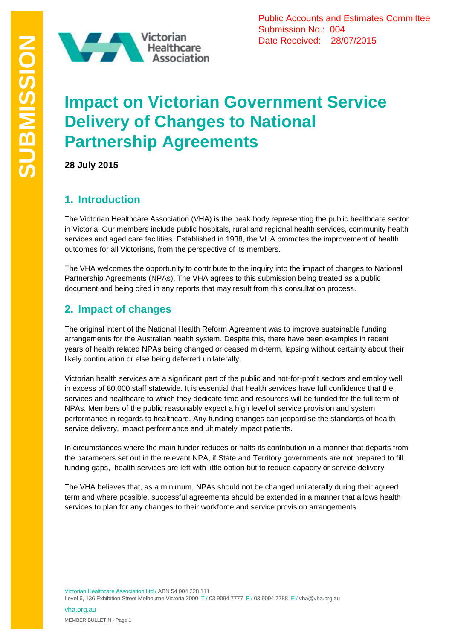

Public Accounts and Estimates Committee Submission No.: 004 Date Received: 28/07/2015

# **Impact on Victorian Government Service Delivery of Changes to National Partnership Agreements**

**28 July 2015**

# **1. Introduction**

The Victorian Healthcare Association (VHA) is the peak body representing the public healthcare sector in Victoria. Our members include public hospitals, rural and regional health services, community health services and aged care facilities. Established in 1938, the VHA promotes the improvement of health outcomes for all Victorians, from the perspective of its members.

The VHA welcomes the opportunity to contribute to the inquiry into the impact of changes to National Partnership Agreements (NPAs). The VHA agrees to this submission being treated as a public document and being cited in any reports that may result from this consultation process.

# **2. Impact of changes**

The original intent of the National Health Reform Agreement was to improve sustainable funding arrangements for the Australian health system. Despite this, there have been examples in recent years of health related NPAs being changed or ceased mid-term, lapsing without certainty about their likely continuation or else being deferred unilaterally.

Victorian health services are a significant part of the public and not-for-profit sectors and employ well in excess of 80,000 staff statewide. It is essential that health services have full confidence that the services and healthcare to which they dedicate time and resources will be funded for the full term of NPAs. Members of the public reasonably expect a high level of service provision and system performance in regards to healthcare. Any funding changes can jeopardise the standards of health service delivery, impact performance and ultimately impact patients.

In circumstances where the main funder reduces or halts its contribution in a manner that departs from the parameters set out in the relevant NPA, if State and Territory governments are not prepared to fill funding gaps, health services are left with little option but to reduce capacity or service delivery.

The VHA believes that, as a minimum, NPAs should not be changed unilaterally during their agreed term and where possible, successful agreements should be extended in a manner that allows health services to plan for any changes to their workforce and service provision arrangements.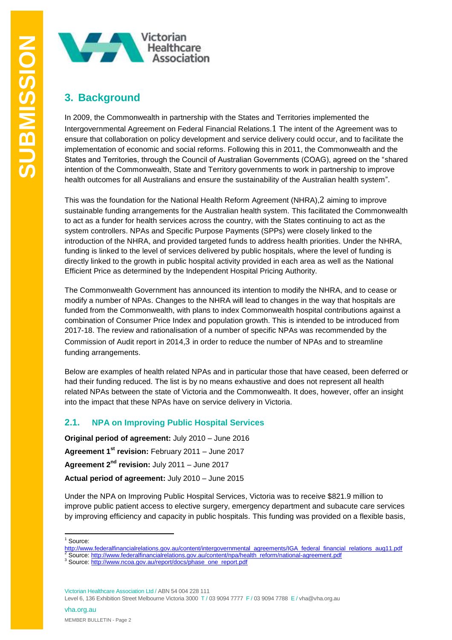

# **3. Background**

In 2009, the Commonwealth in partnership with the States and Territories implemented the Intergovernmental Agreement on Federal Financial Relations.1 The intent of the Agreement was to ensure that collaboration on policy development and service delivery could occur, and to facilitate the implementation of economic and social reforms. Following this in 2011, the Commonwealth and the States and Territories, through the Council of Australian Governments (COAG), agreed on the "shared intention of the Commonwealth, State and Territory governments to work in partnership to improve health outcomes for all Australians and ensure the sustainability of the Australian health system".

This was the foundation for the National Health Reform Agreement (NHRA),2 aiming to improve sustainable funding arrangements for the Australian health system. This facilitated the Commonwealth to act as a funder for health services across the country, with the States continuing to act as the system controllers. NPAs and Specific Purpose Payments (SPPs) were closely linked to the introduction of the NHRA, and provided targeted funds to address health priorities. Under the NHRA, funding is linked to the level of services delivered by public hospitals, where the level of funding is directly linked to the growth in public hospital activity provided in each area as well as the National Efficient Price as determined by the Independent Hospital Pricing Authority.

The Commonwealth Government has announced its intention to modify the NHRA, and to cease or modify a number of NPAs. Changes to the NHRA will lead to changes in the way that hospitals are funded from the Commonwealth, with plans to index Commonwealth hospital contributions against a combination of Consumer Price Index and population growth. This is intended to be introduced from 2017-18. The review and rationalisation of a number of specific NPAs was recommended by the Commission of Audit report in 2014,3 in order to reduce the number of NPAs and to streamline funding arrangements.

Below are examples of health related NPAs and in particular those that have ceased, been deferred or had their funding reduced. The list is by no means exhaustive and does not represent all health related NPAs between the state of Victoria and the Commonwealth. It does, however, offer an insight into the impact that these NPAs have on service delivery in Victoria.

### **2.1. NPA on Improving Public Hospital Services**

**Original period of agreement:** July 2010 – June 2016

**Agreement 1st revision:** February 2011 – June 2017

**Agreement 2nd revision:** July 2011 – June 2017

**Actual period of agreement:** July 2010 – June 2015

Under the NPA on Improving Public Hospital Services, Victoria was to receive \$821.9 million to improve public patient access to elective surgery, emergency department and subacute care services by improving efficiency and capacity in public hospitals. This funding was provided on a flexible basis,

[http://www.federalfinancialrelations.gov.au/content/intergovernmental\\_agreements/IGA\\_federal\\_financial\\_relations\\_aug11.pdf](http://www.federalfinancialrelations.gov.au/content/intergovernmental_agreements/IGA_federal_financial_relations_aug11.pdf)

Victorian Healthcare Association Ltd / ABN 54 004 228 111

<sup>1</sup> <sup>1</sup> Source:

<sup>2</sup> Source: [http://www.federalfinancialrelations.gov.au/content/npa/health\\_reform/national-agreement.pdf](http://www.federalfinancialrelations.gov.au/content/npa/health_reform/national-agreement.pdf)

<sup>&</sup>lt;sup>3</sup> Source: [http://www.ncoa.gov.au/report/docs/phase\\_one\\_report.pdf](http://www.ncoa.gov.au/report/docs/phase_one_report.pdf)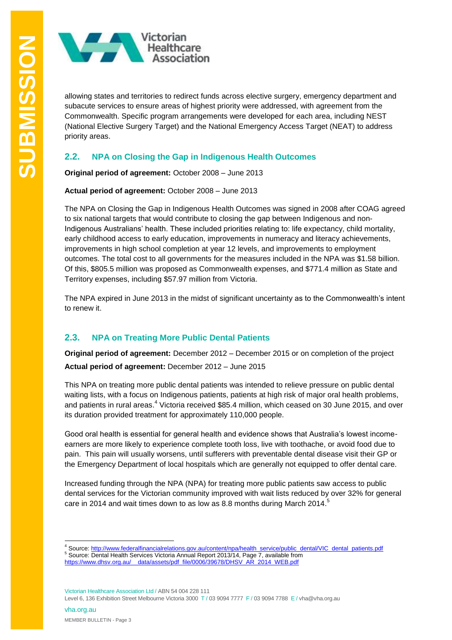

allowing states and territories to redirect funds across elective surgery, emergency department and subacute services to ensure areas of highest priority were addressed, with agreement from the Commonwealth. Specific program arrangements were developed for each area, including NEST (National Elective Surgery Target) and the National Emergency Access Target (NEAT) to address priority areas.

#### **2.2. NPA on Closing the Gap in Indigenous Health Outcomes**

**Original period of agreement:** October 2008 – June 2013

**Actual period of agreement:** October 2008 – June 2013

The NPA on Closing the Gap in Indigenous Health Outcomes was signed in 2008 after COAG agreed to six national targets that would contribute to closing the gap between Indigenous and non-Indigenous Australians' health. These included priorities relating to: life expectancy, child mortality, early childhood access to early education, improvements in numeracy and literacy achievements, improvements in high school completion at year 12 levels, and improvements to employment outcomes. The total cost to all governments for the measures included in the NPA was \$1.58 billion. Of this, \$805.5 million was proposed as Commonwealth expenses, and \$771.4 million as State and Territory expenses, including \$57.97 million from Victoria.

The NPA expired in June 2013 in the midst of significant uncertainty as to the Commonwealth's intent to renew it.

#### **2.3. NPA on Treating More Public Dental Patients**

**Original period of agreement:** December 2012 – December 2015 or on completion of the project **Actual period of agreement:** December 2012 – June 2015

This NPA on treating more public dental patients was intended to relieve pressure on public dental waiting lists, with a focus on Indigenous patients, patients at high risk of major oral health problems, and patients in rural areas.<sup>4</sup> Victoria received \$85.4 million, which ceased on 30 June 2015, and over its duration provided treatment for approximately 110,000 people.

Good oral health is essential for general health and evidence shows that Australia's lowest incomeearners are more likely to experience complete tooth loss, live with toothache, or avoid food due to pain. This pain will usually worsens, until sufferers with preventable dental disease visit their GP or the Emergency Department of local hospitals which are generally not equipped to offer dental care.

Increased funding through the NPA (NPA) for treating more public patients saw access to public dental services for the Victorian community improved with wait lists reduced by over 32% for general care in 2014 and wait times down to as low as 8.8 months during March 2014.<sup>5</sup>

Victorian Healthcare Association Ltd / ABN 54 004 228 111

<sup>1</sup> <sup>4</sup> Source: [http://www.federalfinancialrelations.gov.au/content/npa/health\\_service/public\\_dental/VIC\\_dental\\_patients.pdf](http://www.federalfinancialrelations.gov.au/content/npa/health_service/public_dental/VIC_dental_patients.pdf)

<sup>&</sup>lt;sup>5</sup> Source: Dental Health Services Victoria Annual Report 2013/14, Page 7, available from

[https://www.dhsv.org.au/\\_\\_data/assets/pdf\\_file/0006/39678/DHSV\\_AR\\_2014\\_WEB.pdf](https://www.dhsv.org.au/__data/assets/pdf_file/0006/39678/DHSV_AR_2014_WEB.pdf)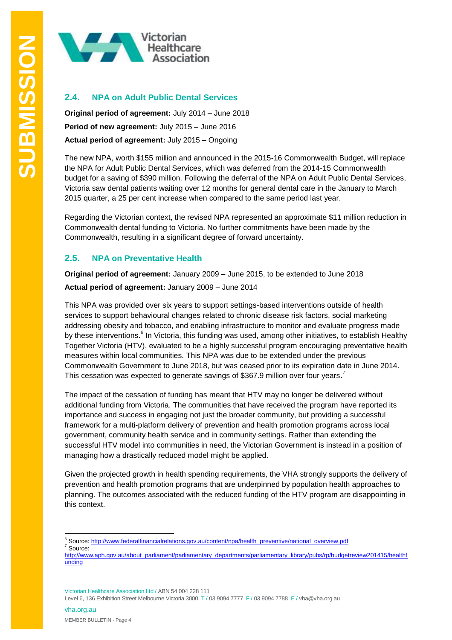

#### **2.4. NPA on Adult Public Dental Services**

**Original period of agreement:** July 2014 – June 2018 **Period of new agreement:** July 2015 – June 2016 **Actual period of agreement:** July 2015 – Ongoing

The new NPA, worth \$155 million and announced in the 2015-16 Commonwealth Budget, will replace the NPA for Adult Public Dental Services, which was deferred from the 2014-15 Commonwealth budget for a saving of \$390 million. Following the deferral of the NPA on Adult Public Dental Services, Victoria saw dental patients waiting over 12 months for general dental care in the January to March 2015 quarter, a 25 per cent increase when compared to the same period last year.

Regarding the Victorian context, the revised NPA represented an approximate \$11 million reduction in Commonwealth dental funding to Victoria. No further commitments have been made by the Commonwealth, resulting in a significant degree of forward uncertainty.

#### **2.5. NPA on Preventative Health**

**Original period of agreement:** January 2009 – June 2015, to be extended to June 2018 **Actual period of agreement:** January 2009 – June 2014

This NPA was provided over six years to support settings-based interventions outside of health services to support behavioural changes related to chronic disease risk factors, social marketing addressing obesity and tobacco, and enabling infrastructure to monitor and evaluate progress made by these interventions.<sup>6</sup> In Victoria, this funding was used, among other initiatives, to establish Healthy Together Victoria (HTV), evaluated to be a highly successful program encouraging preventative health measures within local communities. This NPA was due to be extended under the previous Commonwealth Government to June 2018, but was ceased prior to its expiration date in June 2014. This cessation was expected to generate savings of \$367.9 million over four years.<sup>7</sup>

The impact of the cessation of funding has meant that HTV may no longer be delivered without additional funding from Victoria. The communities that have received the program have reported its importance and success in engaging not just the broader community, but providing a successful framework for a multi-platform delivery of prevention and health promotion programs across local government, community health service and in community settings. Rather than extending the successful HTV model into communities in need, the Victorian Government is instead in a position of managing how a drastically reduced model might be applied.

Given the projected growth in health spending requirements, the VHA strongly supports the delivery of prevention and health promotion programs that are underpinned by population health approaches to planning. The outcomes associated with the reduced funding of the HTV program are disappointing in this context.

Victorian Healthcare Association Ltd / ABN 54 004 228 111

<sup>1</sup> <sup>6</sup> Source: [http://www.federalfinancialrelations.gov.au/content/npa/health\\_preventive/national\\_overview.pdf](http://www.federalfinancialrelations.gov.au/content/npa/health_preventive/national_overview.pdf)

<sup>7</sup> Source:

[http://www.aph.gov.au/about\\_parliament/parliamentary\\_departments/parliamentary\\_library/pubs/rp/budgetreview201415/healthf](http://www.aph.gov.au/about_parliament/parliamentary_departments/parliamentary_library/pubs/rp/budgetreview201415/healthfunding) [unding](http://www.aph.gov.au/about_parliament/parliamentary_departments/parliamentary_library/pubs/rp/budgetreview201415/healthfunding)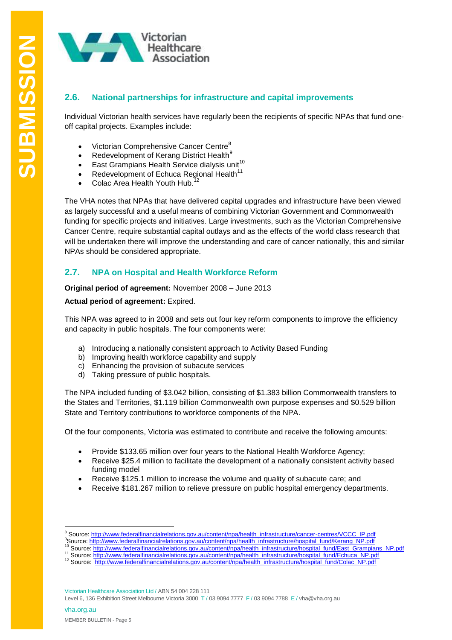

#### **2.6. National partnerships for infrastructure and capital improvements**

Individual Victorian health services have regularly been the recipients of specific NPAs that fund oneoff capital projects. Examples include:

- Victorian Comprehensive Cancer Centre<sup>8</sup>
- Redevelopment of Kerang District Health<sup>9</sup>
- East Grampians Health Service dialysis unit<sup>10</sup>
- Redevelopment of Echuca Regional Health<sup>11</sup>
- Colac Area Health Youth Hub.

The VHA notes that NPAs that have delivered capital upgrades and infrastructure have been viewed as largely successful and a useful means of combining Victorian Government and Commonwealth funding for specific projects and initiatives. Large investments, such as the Victorian Comprehensive Cancer Centre, require substantial capital outlays and as the effects of the world class research that will be undertaken there will improve the understanding and care of cancer nationally, this and similar NPAs should be considered appropriate.

#### **2.7. NPA on Hospital and Health Workforce Reform**

**Original period of agreement:** November 2008 – June 2013

#### **Actual period of agreement:** Expired.

This NPA was agreed to in 2008 and sets out four key reform components to improve the efficiency and capacity in public hospitals. The four components were:

- a) Introducing a nationally consistent approach to Activity Based Funding
- b) Improving health workforce capability and supply
- c) Enhancing the provision of subacute services
- d) Taking pressure of public hospitals.

The NPA included funding of \$3.042 billion, consisting of \$1.383 billion Commonwealth transfers to the States and Territories, \$1.119 billion Commonwealth own purpose expenses and \$0.529 billion State and Territory contributions to workforce components of the NPA.

Of the four components, Victoria was estimated to contribute and receive the following amounts:

- Provide \$133.65 million over four years to the National Health Workforce Agency;
- Receive \$25.4 million to facilitate the development of a nationally consistent activity based funding model
- Receive \$125.1 million to increase the volume and quality of subacute care; and
- Receive \$181.267 million to relieve pressure on public hospital emergency departments.

<sup>1</sup> <sup>8</sup> Source: [http://www.federalfinancialrelations.gov.au/content/npa/health\\_infrastructure/cancer-centres/VCCC\\_IP.pdf](http://www.federalfinancialrelations.gov.au/content/npa/health_infrastructure/cancer-centres/VCCC_IP.pdf)

<sup>9</sup>Source[: http://www.federalfinancialrelations.gov.au/content/npa/health\\_infrastructure/hospital\\_fund/Kerang\\_NP.pdf](http://www.federalfinancialrelations.gov.au/content/npa/health_infrastructure/hospital_fund/Kerang_NP.pdf)

<sup>10</sup> Source[: http://www.federalfinancialrelations.gov.au/content/npa/health\\_infrastructure/hospital\\_fund/East\\_Grampians\\_NP.pdf](http://www.federalfinancialrelations.gov.au/content/npa/health_infrastructure/hospital_fund/East_Grampians_NP.pdf)

<sup>&</sup>lt;sup>11</sup> Source: [http://www.federalfinancialrelations.gov.au/content/npa/health\\_infrastructure/hospital\\_fund/Echuca\\_NP.pdf](http://www.federalfinancialrelations.gov.au/content/npa/health_infrastructure/hospital_fund/Echuca_NP.pdf)

<sup>&</sup>lt;sup>12</sup> Source: [http://www.federalfinancialrelations.gov.au/content/npa/health\\_infrastructure/hospital\\_fund/Colac\\_NP.pdf](http://www.federalfinancialrelations.gov.au/content/npa/health_infrastructure/hospital_fund/Colac_NP.pdf)